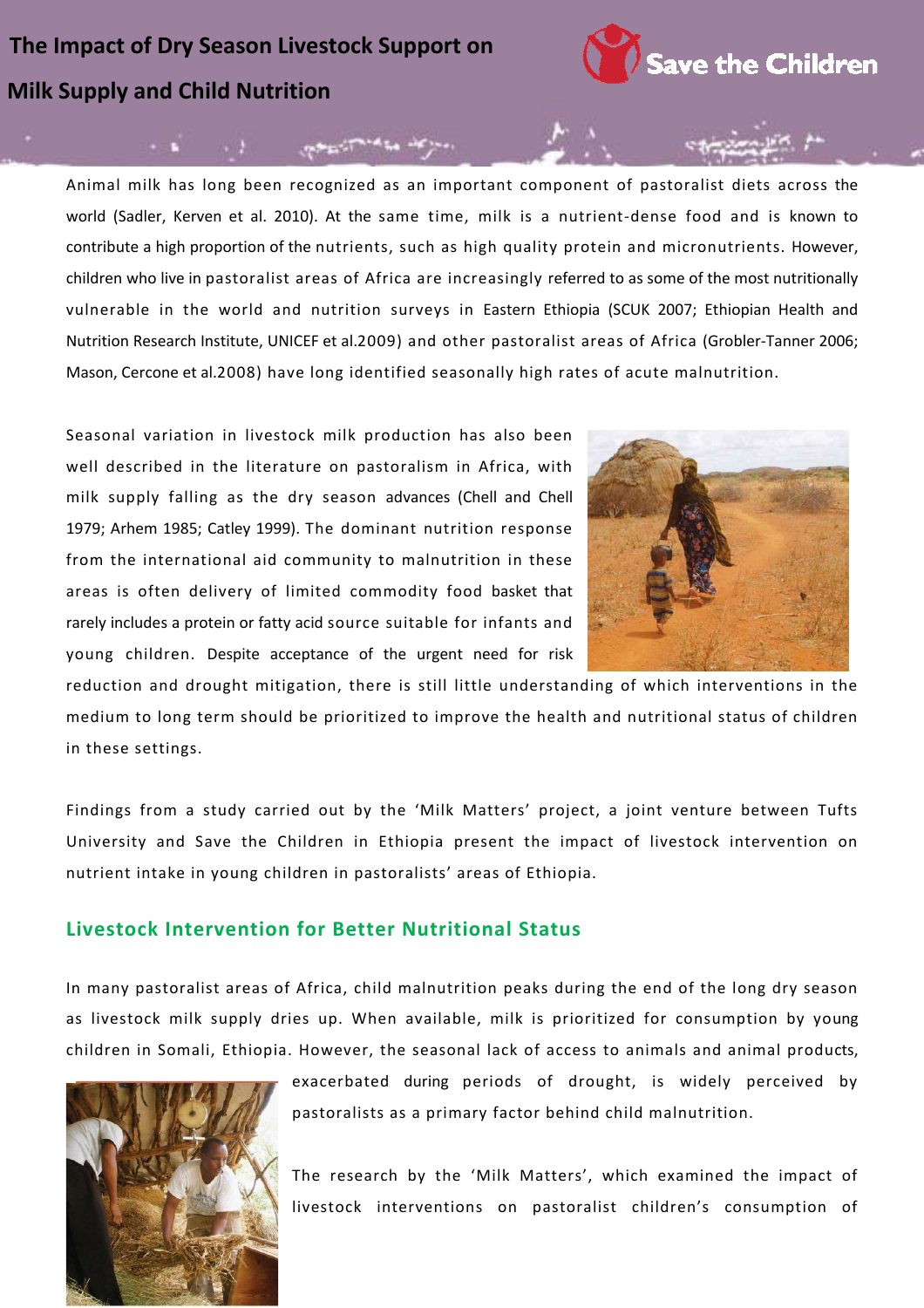# **Milk Supply and Child Nutrition The Impact of Dry Season Livestock Support on**



Animal milk has long been recognized as an important component of pastoralist diets across the world (Sadler, Kerven et al. 2010). At the same time, milk is a nutrient-dense food and is known to contribute a high proportion of the nutrients, such as high quality protein and micronutrients. However, children who live in pastoralist areas of Africa are increasingly referred to as some of the most nutritionally vulnerable in the world and nutrition surveys in Eastern Ethiopia (SCUK 2007; Ethiopian Health and Nutrition Research Institute, UNICEF et al.2009) and other pastoralist areas of Africa (Grobler‐Tanner 2006; Mason, Cercone et al.2008) have long identified seasonally high rates of acute malnutrition.

والمركاء وبالمتماز والموجون

Seasonal variation in livestock milk production has also been well described in the literature on pastoralism in Africa, with milk supply falling as the dry season advances (Chell and Chell 1979; Arhem 1985; Catley 1999). The dominant nutrition response from the international aid community to malnutrition in these areas is often delivery of limited commodity food basket that rarely includes a protein or fatty acid source suitable for infants and young children. Despite acceptance of the urgent need for risk



reduction and drought mitigation, there is still little understanding of which interventions in the medium to long term should be prioritized to improve the health and nutritional status of children in these settings.

Findings from a study carried out by the 'Milk Matters' project, a joint venture between Tufts University and Save the Children in Ethiopia present the impact of livestock intervention on nutrient intake in young children in pastoralists' areas of Ethiopia.

#### **Livestock Intervention for Better Nutritional Status**

In many pastoralist areas of Africa, child malnutrition peaks during the end of the long dry season as livestock milk supply dries up. When available, milk is prioritized for consumption by young children in Somali, Ethiopia. However, the seasonal lack of access to animals and animal products,



exacerbated during periods of drought, is widely perceived by pastoralists as a primary factor behind child malnutrition.

The research by the 'Milk Matters', which examined the impact of livestock interventions on pastoralist children's consumption of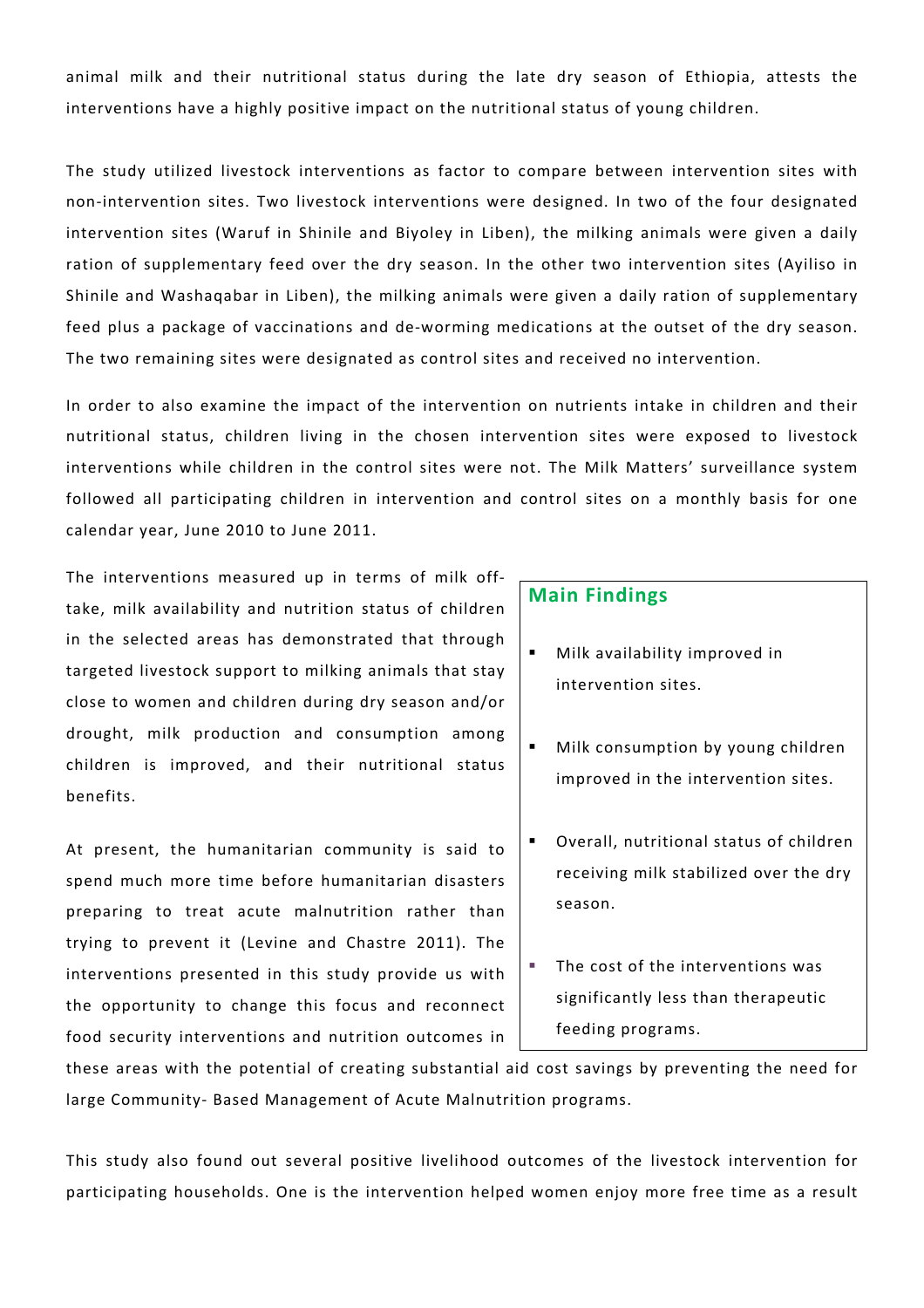animal milk and their nutritional status during the late dry season of Ethiopia, attests the interventions have a highly positive impact on the nutritional status of young children.

The study utilized livestock interventions as factor to compare between intervention sites with non‐intervention sites. Two livestock interventions were designed. In two of the four designated intervention sites (Waruf in Shinile and Biyoley in Liben), the milking animals were given a daily ration of supplementary feed over the dry season. In the other two intervention sites (Ayiliso in Shinile and Washaqabar in Liben), the milking animals were given a daily ration of supplementary feed plus a package of vaccinations and de-worming medications at the outset of the dry season. The two remaining sites were designated as control sites and received no intervention.

In order to also examine the impact of the intervention on nutrients intake in children and their nutritional status, children living in the chosen intervention sites were exposed to livestock interventions while children in the control sites were not. The Milk Matters' surveillance system followed all participating children in intervention and control sites on a monthly basis for one calendar year, June 2010 to June 2011.

The interventions measured up in terms of milk off‐ take, milk availability and nutrition status of children in the selected areas has demonstrated that through targeted livestock support to milking animals that stay close to women and children during dry season and/or drought, milk production and consumption among children is improved, and their nutritional status benefits.

At present, the humanitarian community is said to spend much more time before humanitarian disasters preparing to treat acute malnutrition rather than trying to prevent it (Levine and Chastre 2011). The interventions presented in this study provide us with the opportunity to change this focus and reconnect food security interventions and nutrition outcomes in

#### **Main Findings**

- Milk availability improved in intervention sites.
- Milk consumption by young children improved in the intervention sites.
- Overall, nutritional status of children receiving milk stabilized over the dry season.
- The cost of the interventions was significantly less than therapeutic feeding programs.

these areas with the potential of creating substantial aid cost savings by preventing the need for large Community‐ Based Management of Acute Malnutrition programs.

This study also found out several positive livelihood outcomes of the livestock intervention for participating households. One is the intervention helped women enjoy more free time as a result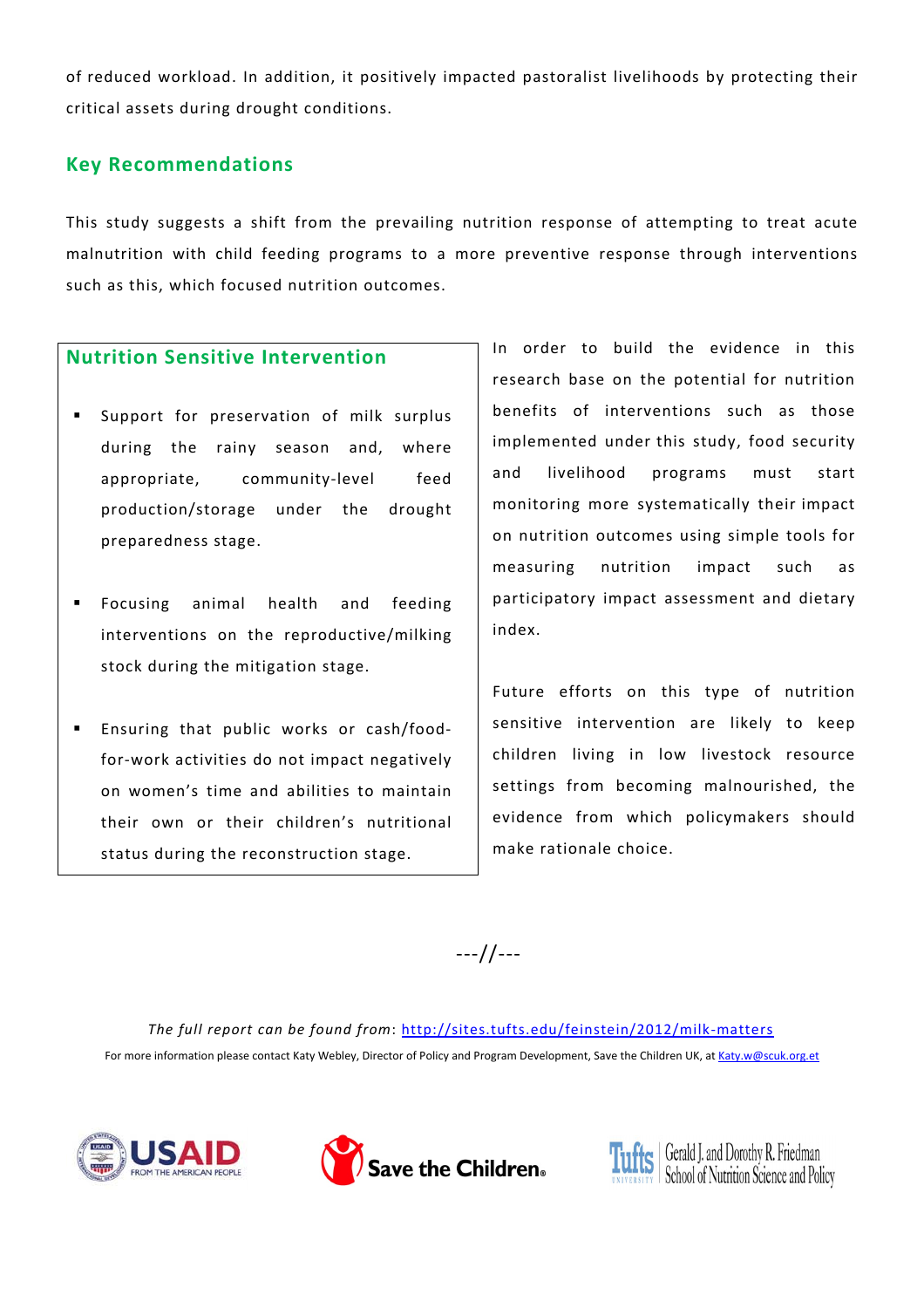of reduced workload. In addition, it positively impacted pastoralist livelihoods by protecting their critical assets during drought conditions.

## **Key Recommendations**

This study suggests a shift from the prevailing nutrition response of attempting to treat acute malnutrition with child feeding programs to a more preventive response through interventions such as this, which focused nutrition outcomes.

#### **Nutrition Sensitive Intervention**

- Support for preservation of milk surplus during the rainy season and, where appropriate, community-level feed production/storage under the drought preparedness stage.
- Focusing animal health and feeding interventions on the reproductive/milking stock during the mitigation stage.
- Ensuring that public works or cash/food‐ for‐work activities do not impact negatively on women's time and abilities to maintain their own or their children's nutritional status during the reconstruction stage.

In order to build the evidence in this research base on the potential for nutrition benefits of interventions such as those implemented under this study, food security and livelihood programs must start monitoring more systematically their impact on nutrition outcomes using simple tools for measuring nutrition impact such as participatory impact assessment and dietary index.

Future efforts on this type of nutrition sensitive intervention are likely to keep children living in low livestock resource settings from becoming malnourished, the evidence from which policymakers should make rationale choice.

‐‐‐//‐‐‐

*The full report can be found from*: http://sites.tufts.edu/feinstein/2012/milk‐matters For more information please contact Katy Webley, Director of Policy and Program Development, Save the Children UK, at Katy.w@scuk.org.et